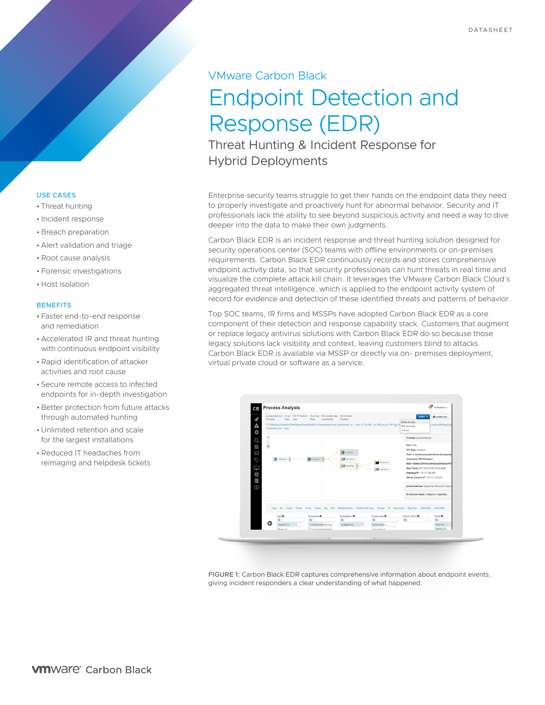# VMware Carbon Black Endpoint Detection and Response (EDR)

Threat Hunting & Incident Response for Hybrid Deployments

Enterprise security teams struggle to get their hands on the endpoint data they need to properly investigate and proactively hunt for abnormal behavior. Security and IT professionals lack the ability to see beyond suspicious activity and need a way to dive deeper into the data to make their own judgments.

Carbon Black EDR is an incident response and threat hunting solution designed for security operations center (SOC) teams with offline environments or on-premises requirements. Carbon Black EDR continuously records and stores comprehensive endpoint activity data, so that security professionals can hunt threats in real time and visualize the complete attack kill chain. It leverages the VMware Carbon Black Cloud's aggregated threat intelligence, which is applied to the endpoint activity system of record for evidence and detection of these identified threats and patterns of behavior.

Top SOC teams, IR firms and MSSPs have adopted Carbon Black EDR as a core component of their detection and response capability stack. Customers that augment or replace legacy antivirus solutions with Carbon Black EDR do so because those legacy solutions lack visibility and context, leaving customers blind to attacks. Carbon Black EDR is available via MSSP or directly via on- premises deployment, virtual private cloud or software as a service.



FIGURE 1: Carbon Black EDR captures comprehensive information about endpoint events, giving incident responders a clear understanding of what happened.

## USE CASES

- Threat hunting
- Incident response
- Breach preparation
- Alert validation and triage
- •Root cause analysis
- Forensic investigations
- Host isolation

## **BENEFITS**

- Faster end-to-end response and remediation
- Accelerated IR and threat hunting with continuous endpoint visibility
- •Rapid identification of attacker activities and root cause
- Secure remote access to infected endpoints for in-depth investigation
- Better protection from future attacks through automated hunting
- Unlimited retention and scale for the largest installations
- •Reduced IT headaches from reimaging and helpdesk tickets